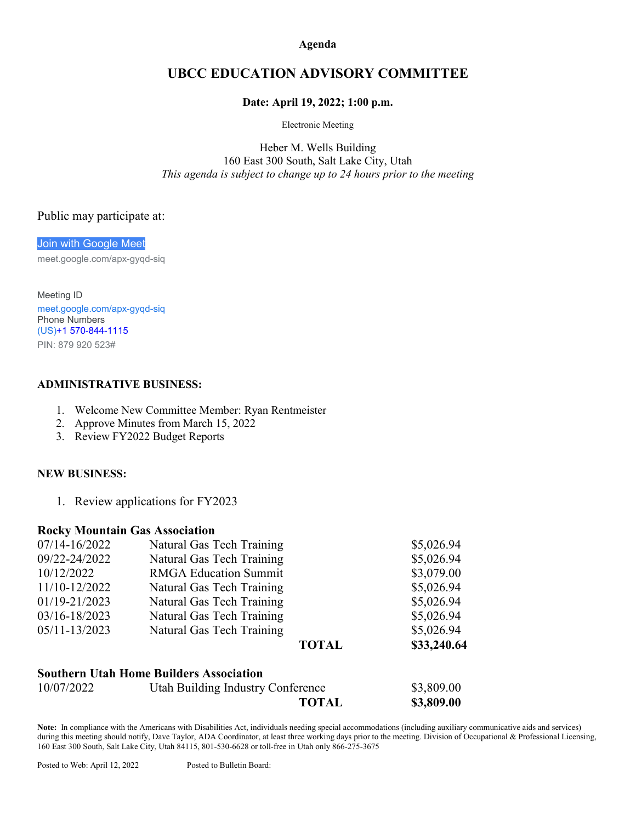**Agenda**

# **UBCC EDUCATION ADVISORY COMMITTEE**

### **Date: April 19, 2022; 1:00 p.m.**

Electronic Meeting

Heber M. Wells Building 160 East 300 South, Salt Lake City, Utah *This agenda is subject to change up to 24 hours prior to the meeting*

## Public may participate at:

[Join with Google Meet](https://meet.google.com/apx-gyqd-siq?hs=122&authuser=0)

meet.google.com/apx-gyqd-siq

Meeting ID [meet.google.com/apx-gyqd-siq](https://meet.google.com/apx-gyqd-siq?hs=122&authuser=0) Phone Numbers (US)+1 [570-844-1115](tel:%E2%80%AA+1%20570-844-1115%E2%80%AC) PIN: 879 920 523#

## **ADMINISTRATIVE BUSINESS:**

- 1. Welcome New Committee Member: Ryan Rentmeister
- 2. Approve Minutes from March 15, 2022
- 3. Review FY2022 Budget Reports

### **NEW BUSINESS:**

1. Review applications for FY2023

### **Rocky Mountain Gas Association**

| 07/14-16/2022 | Natural Gas Tech Training    |              | \$5,026.94  |
|---------------|------------------------------|--------------|-------------|
| 09/22-24/2022 | Natural Gas Tech Training    |              | \$5,026.94  |
| 10/12/2022    | <b>RMGA Education Summit</b> |              | \$3,079.00  |
| 11/10-12/2022 | Natural Gas Tech Training    |              | \$5,026.94  |
| 01/19-21/2023 | Natural Gas Tech Training    |              | \$5,026.94  |
| 03/16-18/2023 | Natural Gas Tech Training    |              | \$5,026.94  |
| 05/11-13/2023 | Natural Gas Tech Training    |              | \$5,026.94  |
|               |                              | <b>TOTAL</b> | \$33,240.64 |
|               |                              |              |             |

## **Southern Utah Home Builders Association**

| 10/07/2022 | Utah Building Industry Conference | \$3,809.00 |
|------------|-----------------------------------|------------|
|            | <b>TOTAL</b>                      | \$3,809.00 |

**Note:** In compliance with the Americans with Disabilities Act, individuals needing special accommodations (including auxiliary communicative aids and services) during this meeting should notify, Dave Taylor, ADA Coordinator, at least three working days prior to the meeting. Division of Occupational & Professional Licensing, 160 East 300 South, Salt Lake City, Utah 84115, 801-530-6628 or toll-free in Utah only 866-275-3675

Posted to Web: April 12, 2022 Posted to Bulletin Board: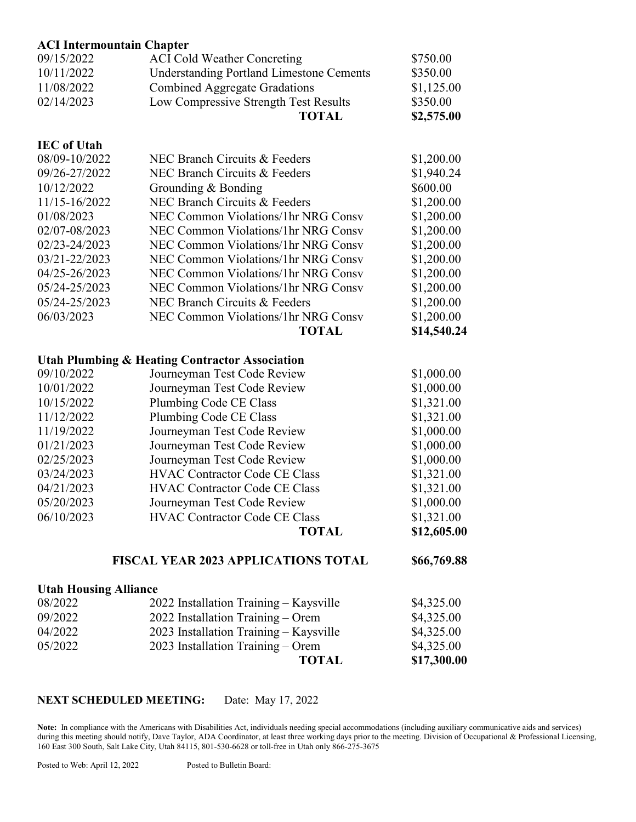| <b>ACI Intermountain Chapter</b>           |                                                           |             |
|--------------------------------------------|-----------------------------------------------------------|-------------|
| 09/15/2022                                 | <b>ACI Cold Weather Concreting</b>                        | \$750.00    |
| 10/11/2022                                 | <b>Understanding Portland Limestone Cements</b>           | \$350.00    |
| 11/08/2022                                 | <b>Combined Aggregate Gradations</b>                      | \$1,125.00  |
| 02/14/2023                                 | Low Compressive Strength Test Results                     | \$350.00    |
|                                            | <b>TOTAL</b>                                              | \$2,575.00  |
| <b>IEC</b> of Utah                         |                                                           |             |
| 08/09-10/2022                              | NEC Branch Circuits & Feeders                             | \$1,200.00  |
| 09/26-27/2022                              | NEC Branch Circuits & Feeders                             | \$1,940.24  |
| 10/12/2022                                 | Grounding & Bonding                                       | \$600.00    |
| 11/15-16/2022                              | NEC Branch Circuits & Feeders                             | \$1,200.00  |
| 01/08/2023                                 | <b>NEC Common Violations/1hr NRG Consv</b>                | \$1,200.00  |
| 02/07-08/2023                              | <b>NEC Common Violations/1hr NRG Consv</b>                | \$1,200.00  |
| 02/23-24/2023                              | NEC Common Violations/1hr NRG Consy                       | \$1,200.00  |
| 03/21-22/2023                              | <b>NEC Common Violations/1hr NRG Consv</b>                | \$1,200.00  |
| 04/25-26/2023                              | NEC Common Violations/1hr NRG Consv                       | \$1,200.00  |
| 05/24-25/2023                              | NEC Common Violations/1hr NRG Consv                       | \$1,200.00  |
| 05/24-25/2023                              | NEC Branch Circuits & Feeders                             | \$1,200.00  |
| 06/03/2023                                 | <b>NEC Common Violations/1hr NRG Consv</b>                | \$1,200.00  |
|                                            | <b>TOTAL</b>                                              | \$14,540.24 |
|                                            | <b>Utah Plumbing &amp; Heating Contractor Association</b> |             |
| 09/10/2022                                 | Journeyman Test Code Review                               | \$1,000.00  |
| 10/01/2022                                 | Journeyman Test Code Review                               | \$1,000.00  |
| 10/15/2022                                 | Plumbing Code CE Class                                    | \$1,321.00  |
| 11/12/2022                                 | Plumbing Code CE Class                                    | \$1,321.00  |
| 11/19/2022                                 | Journeyman Test Code Review                               | \$1,000.00  |
| 01/21/2023                                 | Journeyman Test Code Review                               | \$1,000.00  |
| 02/25/2023                                 | Journeyman Test Code Review                               | \$1,000.00  |
| 03/24/2023                                 | <b>HVAC Contractor Code CE Class</b>                      | \$1,321.00  |
| 04/21/2023                                 | <b>HVAC Contractor Code CE Class</b>                      | \$1,321.00  |
| 05/20/2023                                 | Journeyman Test Code Review                               | \$1,000.00  |
| 06/10/2023                                 | <b>HVAC Contractor Code CE Class</b>                      | \$1,321.00  |
|                                            | <b>TOTAL</b>                                              | \$12,605.00 |
| <b>FISCAL YEAR 2023 APPLICATIONS TOTAL</b> | \$66,769.88                                               |             |
|                                            |                                                           |             |
| <b>Utah Housing Alliance</b>               |                                                           |             |

|         | <b>TOTAL</b>                           | \$17,300.00 |
|---------|----------------------------------------|-------------|
| 05/2022 | $2023$ Installation Training – Orem    | \$4,325.00  |
| 04/2022 | 2023 Installation Training – Kaysville | \$4,325.00  |
| 09/2022 | $2022$ Installation Training – Orem    | \$4,325.00  |
| 08/2022 | 2022 Installation Training – Kaysville | \$4,325.00  |

### **NEXT SCHEDULED MEETING:** Date: May 17, 2022

**Note:** In compliance with the Americans with Disabilities Act, individuals needing special accommodations (including auxiliary communicative aids and services) during this meeting should notify, Dave Taylor, ADA Coordinator, at least three working days prior to the meeting. Division of Occupational & Professional Licensing, 160 East 300 South, Salt Lake City, Utah 84115, 801-530-6628 or toll-free in Utah only 866-275-3675